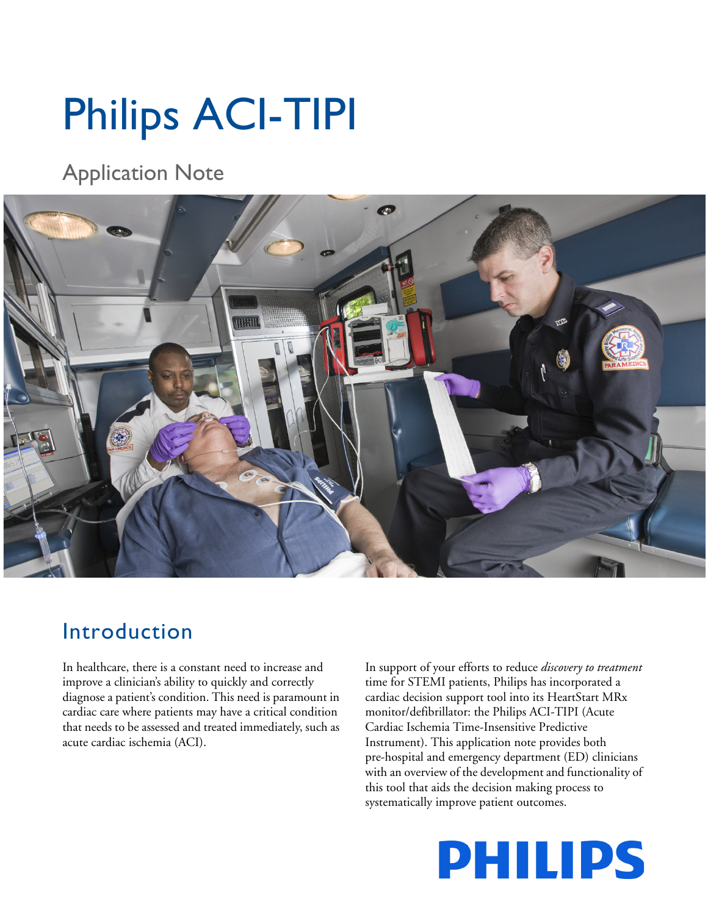# Philips ACI-TIPI

Application Note



# Introduction

In healthcare, there is a constant need to increase and improve a clinician's ability to quickly and correctly diagnose a patient's condition. This need is paramount in cardiac care where patients may have a critical condition that needs to be assessed and treated immediately, such as acute cardiac ischemia (ACI).

In support of your efforts to reduce *discovery to treatment* time for STEMI patients, Philips has incorporated a cardiac decision support tool into its HeartStart MRx monitor/defibrillator: the Philips ACI-TIPI (Acute Cardiac Ischemia Time-Insensitive Predictive Instrument). This application note provides both pre-hospital and emergency department (ED) clinicians with an overview of the development and functionality of this tool that aids the decision making process to systematically improve patient outcomes.

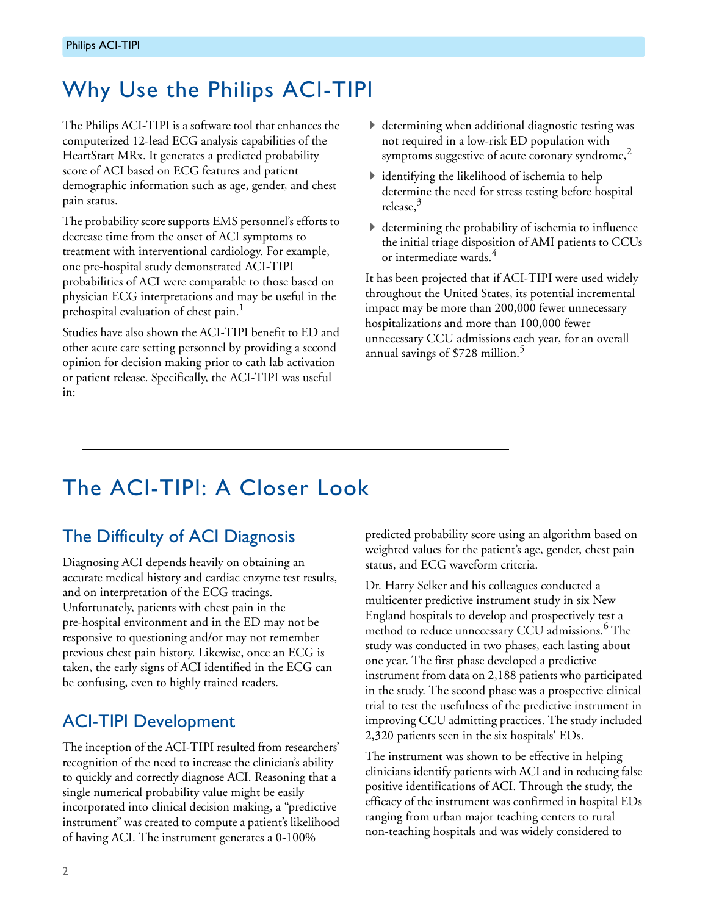# Why Use the Philips ACI-TIPI

The Philips ACI-TIPI is a software tool that enhances the computerized 12-lead ECG analysis capabilities of the HeartStart MRx. It generates a predicted probability score of ACI based on ECG features and patient demographic information such as age, gender, and chest pain status.

The probability score supports EMS personnel's efforts to decrease time from the onset of ACI symptoms to treatment with interventional cardiology. For example, one pre-hospital study demonstrated ACI-TIPI probabilities of ACI were comparable to those based on physician ECG interpretations and may be useful in the prehospital evaluation of chest pain.<sup>1</sup>

Studies have also shown the ACI-TIPI benefit to ED and other acute care setting personnel by providing a second opinion for decision making prior to cath lab activation or patient release. Specifically, the ACI-TIPI was useful in:

- determining when additional diagnostic testing was not required in a low-risk ED population with symptoms suggestive of acute coronary syndrome, $\frac{2}{3}$
- $\blacktriangleright$  identifying the likelihood of ischemia to help determine the need for stress testing before hospital release,<sup>3</sup>
- $\blacktriangleright$  determining the probability of ischemia to influence the initial triage disposition of AMI patients to CCUs or intermediate wards.<sup>4</sup>

It has been projected that if ACI-TIPI were used widely throughout the United States, its potential incremental impact may be more than 200,000 fewer unnecessary hospitalizations and more than 100,000 fewer unnecessary CCU admissions each year, for an overall annual savings of \$728 million.<sup>5</sup>

# The ACI-TIPI: A Closer Look

### The Difficulty of ACI Diagnosis

Diagnosing ACI depends heavily on obtaining an accurate medical history and cardiac enzyme test results, and on interpretation of the ECG tracings. Unfortunately, patients with chest pain in the pre-hospital environment and in the ED may not be responsive to questioning and/or may not remember previous chest pain history. Likewise, once an ECG is taken, the early signs of ACI identified in the ECG can be confusing, even to highly trained readers.

### ACI-TIPI Development

The inception of the ACI-TIPI resulted from researchers' recognition of the need to increase the clinician's ability to quickly and correctly diagnose ACI. Reasoning that a single numerical probability value might be easily incorporated into clinical decision making, a "predictive instrument" was created to compute a patient's likelihood of having ACI. The instrument generates a 0-100%

predicted probability score using an algorithm based on weighted values for the patient's age, gender, chest pain status, and ECG waveform criteria.

Dr. Harry Selker and his colleagues conducted a multicenter predictive instrument study in six New England hospitals to develop and prospectively test a method to reduce unnecessary CCU admissions.<sup>6</sup> The study was conducted in two phases, each lasting about one year. The first phase developed a predictive instrument from data on 2,188 patients who participated in the study. The second phase was a prospective clinical trial to test the usefulness of the predictive instrument in improving CCU admitting practices. The study included 2,320 patients seen in the six hospitals' EDs.

The instrument was shown to be effective in helping clinicians identify patients with ACI and in reducing false positive identifications of ACI. Through the study, the efficacy of the instrument was confirmed in hospital EDs ranging from urban major teaching centers to rural non-teaching hospitals and was widely considered to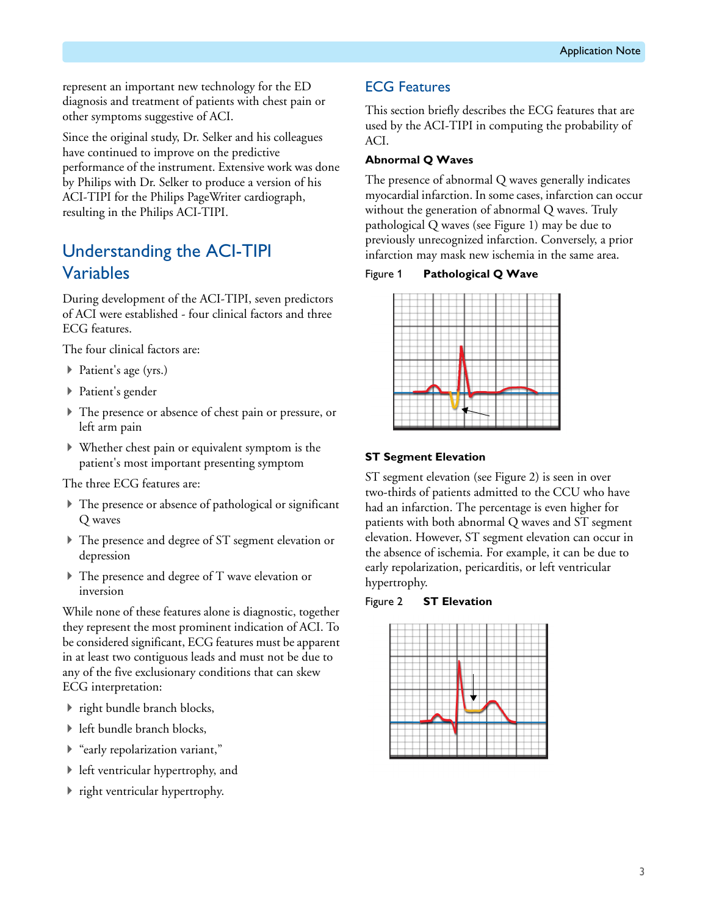represent an important new technology for the ED diagnosis and treatment of patients with chest pain or other symptoms suggestive of ACI.

Since the original study, Dr. Selker and his colleagues have continued to improve on the predictive performance of the instrument. Extensive work was done by Philips with Dr. Selker to produce a version of his ACI-TIPI for the Philips PageWriter cardiograph, resulting in the Philips ACI-TIPI.

### Understanding the ACI-TIPI Variables

During development of the ACI-TIPI, seven predictors of ACI were established - four clinical factors and three ECG features.

The four clinical factors are:

- ▶ Patient's age (yrs.)
- ▶ Patient's gender
- The presence or absence of chest pain or pressure, or left arm pain
- Whether chest pain or equivalent symptom is the patient's most important presenting symptom

The three ECG features are:

- The presence or absence of pathological or significant Q waves
- The presence and degree of ST segment elevation or depression
- The presence and degree of T wave elevation or inversion

While none of these features alone is diagnostic, together they represent the most prominent indication of ACI. To be considered significant, ECG features must be apparent in at least two contiguous leads and must not be due to any of the five exclusionary conditions that can skew ECG interpretation:

- ▶ right bundle branch blocks,
- ▶ left bundle branch blocks,
- "early repolarization variant,"
- left ventricular hypertrophy, and
- right ventricular hypertrophy.

#### ECG Features

This section briefly describes the ECG features that are used by the ACI-TIPI in computing the probability of ACI.

#### **Abnormal Q Waves**

The presence of abnormal Q waves generally indicates myocardial infarction. In some cases, infarction can occur without the generation of abnormal Q waves. Truly pathological Q waves (see Figure 1) may be due to previously unrecognized infarction. Conversely, a prior infarction may mask new ischemia in the same area.

#### Figure 1 **Pathological Q Wave**



#### **ST Segment Elevation**

ST segment elevation (see Figure 2) is seen in over two-thirds of patients admitted to the CCU who have had an infarction. The percentage is even higher for patients with both abnormal Q waves and ST segment elevation. However, ST segment elevation can occur in the absence of ischemia. For example, it can be due to early repolarization, pericarditis, or left ventricular hypertrophy.

#### Figure 2 **ST Elevation**

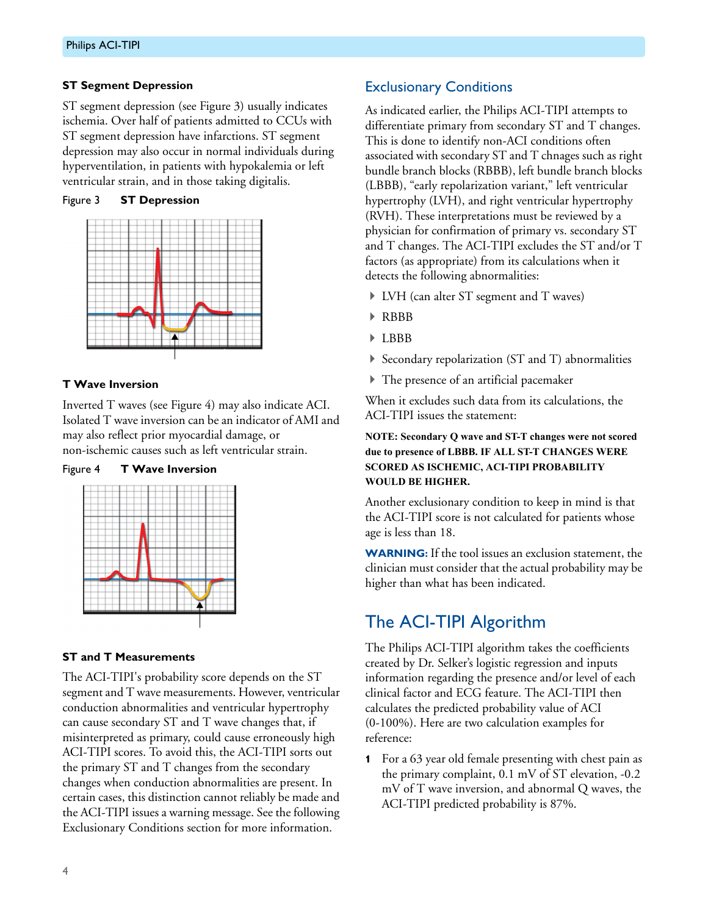#### **ST Segment Depression**

ST segment depression (see Figure 3) usually indicates ischemia. Over half of patients admitted to CCUs with ST segment depression have infarctions. ST segment depression may also occur in normal individuals during hyperventilation, in patients with hypokalemia or left ventricular strain, and in those taking digitalis.

#### Figure 3 **ST Depression**



#### **T Wave Inversion**

Inverted T waves (see Figure 4) may also indicate ACI. Isolated T wave inversion can be an indicator of AMI and may also reflect prior myocardial damage, or non-ischemic causes such as left ventricular strain.





#### **ST and T Measurements**

The ACI-TIPI's probability score depends on the ST segment and T wave measurements. However, ventricular conduction abnormalities and ventricular hypertrophy can cause secondary ST and T wave changes that, if misinterpreted as primary, could cause erroneously high ACI-TIPI scores. To avoid this, the ACI-TIPI sorts out the primary ST and T changes from the secondary changes when conduction abnormalities are present. In certain cases, this distinction cannot reliably be made and the ACI-TIPI issues a warning message. See the following Exclusionary Conditions section for more information.

#### Exclusionary Conditions

As indicated earlier, the Philips ACI-TIPI attempts to differentiate primary from secondary ST and T changes. This is done to identify non-ACI conditions often associated with secondary ST and T chnages such as right bundle branch blocks (RBBB), left bundle branch blocks (LBBB), "early repolarization variant," left ventricular hypertrophy (LVH), and right ventricular hypertrophy (RVH). These interpretations must be reviewed by a physician for confirmation of primary vs. secondary ST and T changes. The ACI-TIPI excludes the ST and/or T factors (as appropriate) from its calculations when it detects the following abnormalities:

- LVH (can alter ST segment and T waves)
- RBBB
- LBBB
- $\triangleright$  Secondary repolarization (ST and T) abnormalities
- The presence of an artificial pacemaker

When it excludes such data from its calculations, the ACI-TIPI issues the statement:

#### **NOTE: Secondary Q wave and ST-T changes were not scored due to presence of LBBB. IF ALL ST-T CHANGES WERE SCORED AS ISCHEMIC, ACI-TIPI PROBABILITY WOULD BE HIGHER.**

Another exclusionary condition to keep in mind is that the ACI-TIPI score is not calculated for patients whose age is less than 18.

**WARNING:** If the tool issues an exclusion statement, the clinician must consider that the actual probability may be higher than what has been indicated.

### The ACI-TIPI Algorithm

The Philips ACI-TIPI algorithm takes the coefficients created by Dr. Selker's logistic regression and inputs information regarding the presence and/or level of each clinical factor and ECG feature. The ACI-TIPI then calculates the predicted probability value of ACI (0-100%). Here are two calculation examples for reference:

**1** For a 63 year old female presenting with chest pain as the primary complaint, 0.1 mV of ST elevation, -0.2 mV of T wave inversion, and abnormal Q waves, the ACI-TIPI predicted probability is 87%.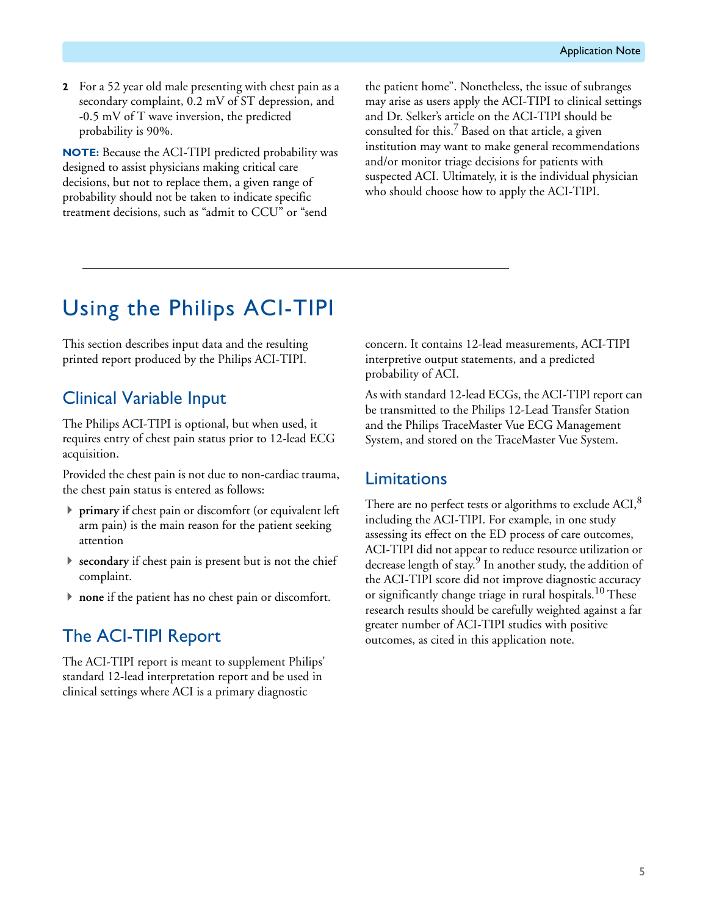**2** For a 52 year old male presenting with chest pain as a secondary complaint, 0.2 mV of ST depression, and -0.5 mV of T wave inversion, the predicted probability is 90%.

**NOTE:** Because the ACI-TIPI predicted probability was designed to assist physicians making critical care decisions, but not to replace them, a given range of probability should not be taken to indicate specific treatment decisions, such as "admit to CCU" or "send

the patient home". Nonetheless, the issue of subranges may arise as users apply the ACI-TIPI to clinical settings and Dr. Selker's article on the ACI-TIPI should be consulted for this.<sup>7</sup> Based on that article, a given institution may want to make general recommendations and/or monitor triage decisions for patients with suspected ACI. Ultimately, it is the individual physician who should choose how to apply the ACI-TIPI.

# Using the Philips ACI-TIPI

This section describes input data and the resulting printed report produced by the Philips ACI-TIPI.

### Clinical Variable Input

The Philips ACI-TIPI is optional, but when used, it requires entry of chest pain status prior to 12-lead ECG acquisition.

Provided the chest pain is not due to non-cardiac trauma, the chest pain status is entered as follows:

- **primary** if chest pain or discomfort (or equivalent left arm pain) is the main reason for the patient seeking attention
- **secondary** if chest pain is present but is not the chief complaint.
- **none** if the patient has no chest pain or discomfort.

### The ACI-TIPI Report

The ACI-TIPI report is meant to supplement Philips' standard 12-lead interpretation report and be used in clinical settings where ACI is a primary diagnostic

concern. It contains 12-lead measurements, ACI-TIPI interpretive output statements, and a predicted probability of ACI.

As with standard 12-lead ECGs, the ACI-TIPI report can be transmitted to the Philips 12-Lead Transfer Station and the Philips TraceMaster Vue ECG Management System, and stored on the TraceMaster Vue System.

#### Limitations

There are no perfect tests or algorithms to exclude ACI, $^8$ including the ACI-TIPI. For example, in one study assessing its effect on the ED process of care outcomes, ACI-TIPI did not appear to reduce resource utilization or decrease length of stay.<sup>9</sup> In another study, the addition of the ACI-TIPI score did not improve diagnostic accuracy or significantly change triage in rural hospitals.<sup>10</sup> These research results should be carefully weighted against a far greater number of ACI-TIPI studies with positive outcomes, as cited in this application note.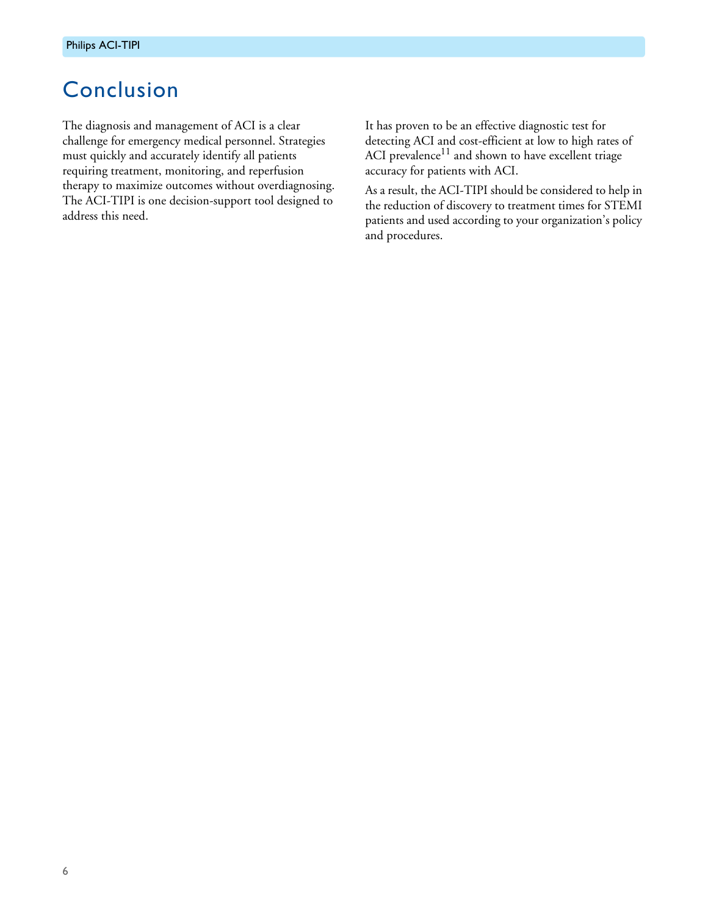## Conclusion

The diagnosis and management of ACI is a clear challenge for emergency medical personnel. Strategies must quickly and accurately identify all patients requiring treatment, monitoring, and reperfusion therapy to maximize outcomes without overdiagnosing. The ACI-TIPI is one decision-support tool designed to address this need.

It has proven to be an effective diagnostic test for detecting ACI and cost-efficient at low to high rates of ACI prevalence<sup>11</sup> and shown to have excellent triage accuracy for patients with ACI.

As a result, the ACI-TIPI should be considered to help in the reduction of discovery to treatment times for STEMI patients and used according to your organization's policy and procedures.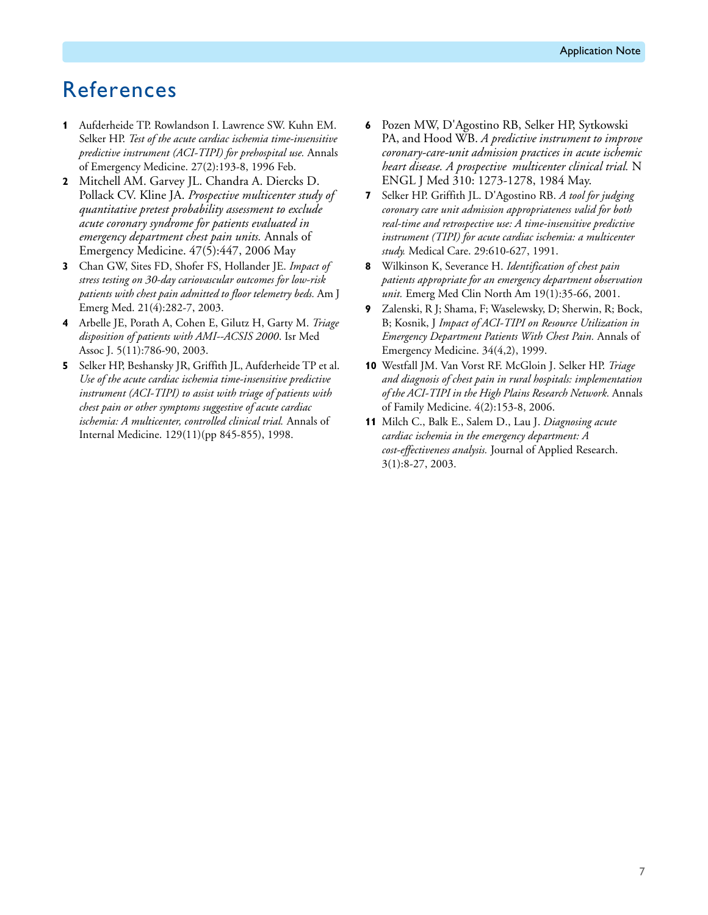# References

- **1** Aufderheide TP. Rowlandson I. Lawrence SW. Kuhn EM. Selker HP. *Test of the acute cardiac ischemia time-insensitive predictive instrument (ACI-TIPI) for prehospital use.* Annals of Emergency Medicine. 27(2):193-8, 1996 Feb.
- **2** Mitchell AM. Garvey JL. Chandra A. Diercks D. Pollack CV. Kline JA. *Prospective multicenter study of quantitative pretest probability assessment to exclude acute coronary syndrome for patients evaluated in emergency department chest pain units.* Annals of Emergency Medicine. 47(5):447, 2006 May
- **3** Chan GW, Sites FD, Shofer FS, Hollander JE. *Impact of stress testing on 30-day cariovascular outcomes for low-risk patients with chest pain admitted to floor telemetry beds.* Am J Emerg Med. 21(4):282-7, 2003.
- **4** Arbelle JE, Porath A, Cohen E, Gilutz H, Garty M. *Triage disposition of patients with AMI--ACSIS 2000*. Isr Med Assoc J. 5(11):786-90, 2003.
- **5** Selker HP, Beshansky JR, Griffith JL, Aufderheide TP et al. *Use of the acute cardiac ischemia time-insensitive predictive instrument (ACI-TIPI) to assist with triage of patients with chest pain or other symptoms suggestive of acute cardiac ischemia: A multicenter, controlled clinical trial.* Annals of Internal Medicine. 129(11)(pp 845-855), 1998.
- **6** Pozen MW, D'Agostino RB, Selker HP, Sytkowski PA, and Hood WB. *A predictive instrument to improve coronary-care-unit admission practices in acute ischemic heart disease. A prospective multicenter clinical trial.* N ENGL J Med 310: 1273-1278, 1984 May.
- **7** Selker HP. Griffith JL. D'Agostino RB. *A tool for judging coronary care unit admission appropriateness valid for both real-time and retrospective use: A time-insensitive predictive instrument (TIPI) for acute cardiac ischemia: a multicenter study.* Medical Care. 29:610-627, 1991.
- **8** Wilkinson K, Severance H. *Identification of chest pain patients appropriate for an emergency department observation unit.* Emerg Med Clin North Am 19(1):35-66, 2001.
- **9** Zalenski, R J; Shama, F; Waselewsky, D; Sherwin, R; Bock, B; Kosnik, J *Impact of ACI-TIPI on Resource Utilization in Emergency Department Patients With Chest Pain.* Annals of Emergency Medicine. 34(4,2), 1999.
- **10** Westfall JM. Van Vorst RF. McGloin J. Selker HP. *Triage and diagnosis of chest pain in rural hospitals: implementation of the ACI-TIPI in the High Plains Research Network.* Annals of Family Medicine. 4(2):153-8, 2006.
- **11** Milch C., Balk E., Salem D., Lau J. *Diagnosing acute cardiac ischemia in the emergency department: A cost-effectiveness analysis.* Journal of Applied Research. 3(1):8-27, 2003.